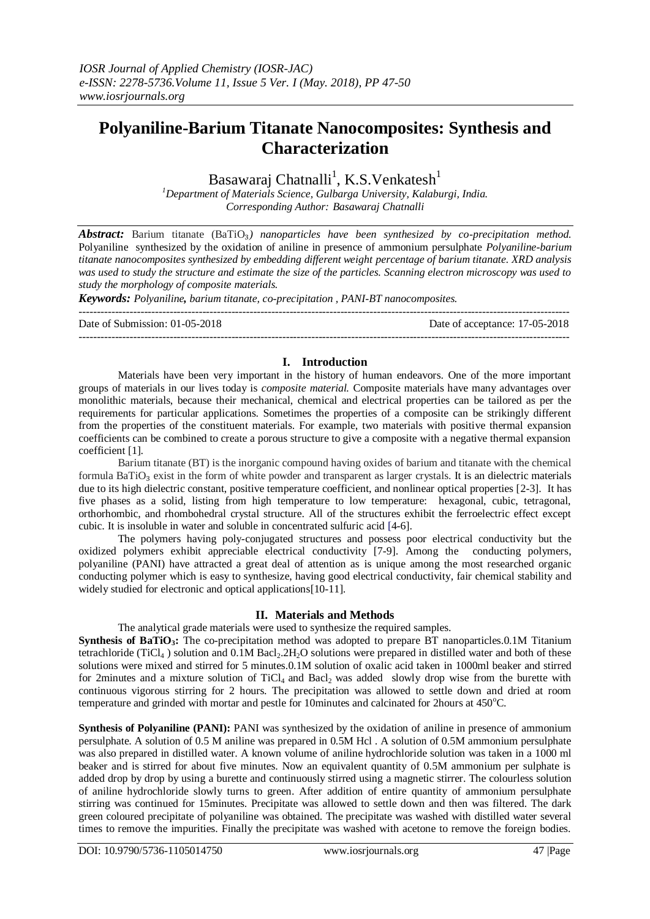# **Polyaniline-Barium Titanate Nanocomposites: Synthesis and Characterization**

## Basawaraj Chatnalli<sup>1</sup>, K.S.Venkatesh<sup>1</sup>

*<sup>1</sup>Department of Materials Science, Gulbarga University, Kalaburgi, India. Corresponding Author: Basawaraj Chatnalli*

*Abstract:* Barium titanate (BaTiO₃*) nanoparticles have been synthesized by co-precipitation method.* Polyaniline synthesized by the oxidation of aniline in presence of ammonium persulphate *Polyaniline-barium titanate nanocomposites synthesized by embedding different weight percentage of barium titanate. XRD analysis was used to study the structure and estimate the size of the particles. Scanning electron microscopy was used to study the morphology of composite materials.* 

*Keywords: Polyaniline, barium titanate, co-precipitation , PANI-BT nanocomposites.*

 $-1.1$ 

Date of Submission: 01-05-2018 Date of acceptance: 17-05-2018

### **I. Introduction**

---------------------------------------------------------------------------------------------------------------------------------------

Materials have been very important in the history of human endeavors. One of the more important groups of materials in our lives today is *composite material.* Composite materials have many advantages over monolithic materials, because their mechanical, chemical and electrical properties can be tailored as per the requirements for particular applications. Sometimes the properties of a composite can be strikingly different from the properties of the constituent materials. For example, two materials with positive thermal expansion coefficients can be combined to create a porous structure to give a composite with a negative thermal expansion coefficient [1].

Barium titanate (BT) is the inorganic compound having oxides of barium and titanate with the chemical formula BaTiO<sub>3</sub> exist in the form of white powder and transparent as larger crystals. It is an dielectric materials due to its high dielectric constant, positive temperature coefficient, and nonlinear optical properties [2-3]. It has five phases as a solid, listing from high temperature to low temperature: hexagonal, cubic, tetragonal, orthorhombic, and rhombohedral crystal structure. All of the structures exhibit the ferroelectric effect except cubic. It is insoluble in water and soluble in concentrated sulfuric acid [4-6].

The polymers having poly-conjugated structures and possess poor electrical conductivity but the oxidized polymers exhibit appreciable electrical conductivity [7-9]. Among the conducting polymers, polyaniline (PANI) have attracted a great deal of attention as is unique among the most researched organic conducting polymer which is easy to synthesize, having good electrical conductivity, fair chemical stability and widely studied for electronic and optical applications[10-11].

## **II. Materials and Methods**

The analytical grade materials were used to synthesize the required samples.

**Synthesis of BaTiO<sub>3</sub>:** The co-precipitation method was adopted to prepare BT nanoparticles.0.1M Titanium tetrachloride (TiCl<sub>4</sub>) solution and  $0.1M$  Bacl<sub>2</sub>.2H<sub>2</sub>O solutions were prepared in distilled water and both of these solutions were mixed and stirred for 5 minutes.0.1M solution of oxalic acid taken in 1000ml beaker and stirred for 2minutes and a mixture solution of TiCl<sub>4</sub> and Bacl<sub>2</sub> was added slowly drop wise from the burette with continuous vigorous stirring for 2 hours. The precipitation was allowed to settle down and dried at room temperature and grinded with mortar and pestle for 10minutes and calcinated for 2hours at 450°C.

**Synthesis of Polyaniline (PANI):** PANI was synthesized by the oxidation of aniline in presence of ammonium persulphate. A solution of 0.5 M aniline was prepared in 0.5M Hcl . A solution of 0.5M ammonium persulphate was also prepared in distilled water. A known volume of aniline hydrochloride solution was taken in a 1000 ml beaker and is stirred for about five minutes. Now an equivalent quantity of 0.5M ammonium per sulphate is added drop by drop by using a burette and continuously stirred using a magnetic stirrer. The colourless solution of aniline hydrochloride slowly turns to green. After addition of entire quantity of ammonium persulphate stirring was continued for 15minutes. Precipitate was allowed to settle down and then was filtered. The dark green coloured precipitate of polyaniline was obtained. The precipitate was washed with distilled water several times to remove the impurities. Finally the precipitate was washed with acetone to remove the foreign bodies.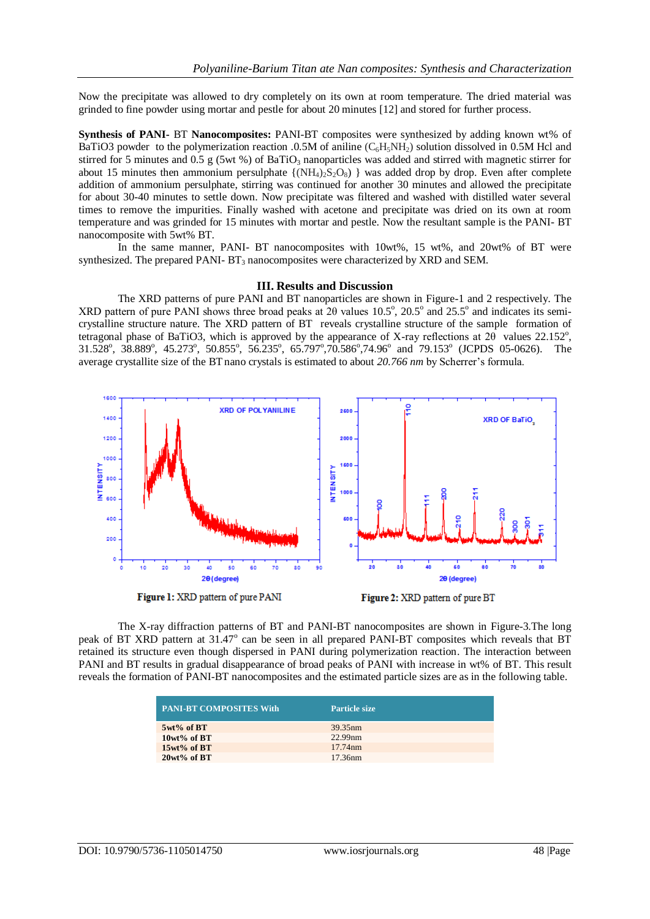Now the precipitate was allowed to dry completely on its own at room temperature. The dried material was grinded to fine powder using mortar and pestle for about 20 minutes [12] and stored for further process.

**Synthesis of PANI-** BT **Nanocomposites:** PANI-BT composites were synthesized by adding known wt% of BaTiO3 powder to the polymerization reaction .0.5M of aniline  $(C<sub>6</sub>H<sub>5</sub>NH<sub>2</sub>)$  solution dissolved in 0.5M Hcl and stirred for 5 minutes and 0.5 g (5wt %) of BaTiO<sub>3</sub> nanoparticles was added and stirred with magnetic stirrer for about 15 minutes then ammonium persulphate  $\{(\text{NH}_4)_2\text{S}_2\text{O}_8\}$  was added drop by drop. Even after complete addition of ammonium persulphate, stirring was continued for another 30 minutes and allowed the precipitate for about 30-40 minutes to settle down. Now precipitate was filtered and washed with distilled water several times to remove the impurities. Finally washed with acetone and precipitate was dried on its own at room temperature and was grinded for 15 minutes with mortar and pestle. Now the resultant sample is the PANI- BT nanocomposite with 5wt% BT.

In the same manner, PANI- BT nanocomposites with  $10wt$ %, 15 wt%, and  $20wt$ % of BT were synthesized. The prepared PANI- $BT_3$  nanocomposites were characterized by XRD and SEM.

#### **III. Results and Discussion**

The XRD patterns of pure PANI and BT nanoparticles are shown in Figure-1 and 2 respectively. The XRD pattern of pure PANI shows three broad peaks at  $2\theta$  values  $10.5^\circ$ ,  $20.5^\circ$  and  $25.5^\circ$  and indicates its semicrystalline structure nature. The XRD pattern of BT reveals crystalline structure of the sample formation of tetragonal phase of BaTiO3, which is approved by the appearance of X-ray reflections at  $2\theta$  values 22.152°, 31.528°, 38.889°, 45.273°, 50.855°, 56.235°, 65.797°,70.586°,74.96° and 79.153° (JCPDS 05-0626). The average crystallite size of the BTnano crystals is estimated to about *20.766 nm* by Scherrer's formula.



The X-ray diffraction patterns of BT and PANI-BT nanocomposites are shown in Figure-3.The long peak of BT XRD pattern at 31.47° can be seen in all prepared PANI-BT composites which reveals that BT retained its structure even though dispersed in PANI during polymerization reaction. The interaction between PANI and BT results in gradual disappearance of broad peaks of PANI with increase in wt% of BT. This result reveals the formation of PANI-BT nanocomposites and the estimated particle sizes are as in the following table.

| <b>PANI-BT COMPOSITES With</b> | <b>Particle size</b> |
|--------------------------------|----------------------|
| $5wt\%$ of BT                  | 39.35 <sub>nm</sub>  |
| $10wt\%$ of BT                 | 22.99nm              |
| $15wt\%$ of BT                 | 17.74nm              |
| $20wt\%$ of BT                 | 17.36nm              |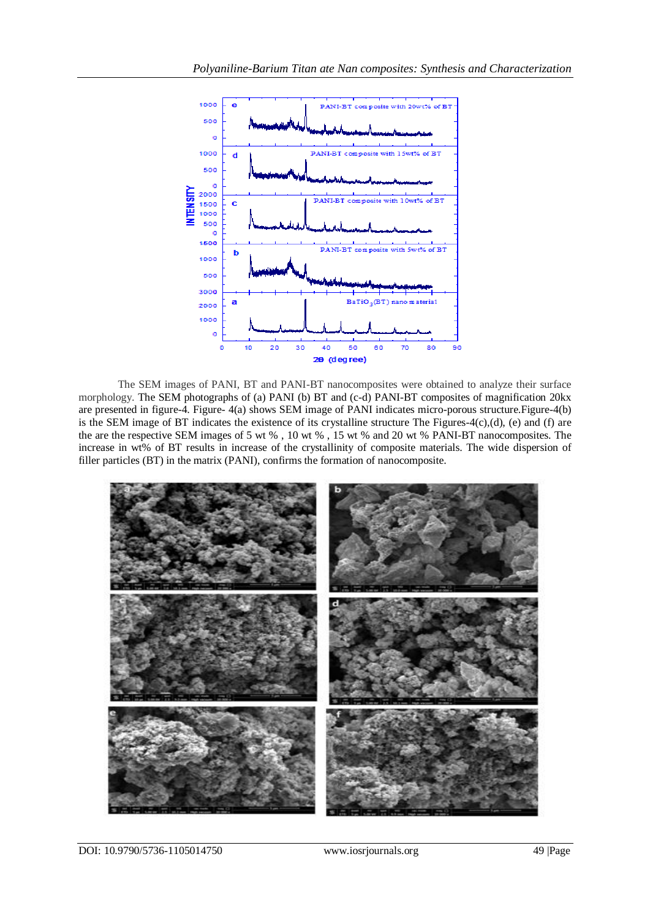

The SEM images of PANI, BT and PANI-BT nanocomposites were obtained to analyze their surface morphology. The SEM photographs of (a) PANI (b) BT and (c-d) PANI-BT composites of magnification 20kx are presented in figure-4. Figure- 4(a) shows SEM image of PANI indicates micro-porous structure.Figure-4(b) is the SEM image of BT indicates the existence of its crystalline structure The Figures-4(c),(d), (e) and (f) are the are the respective SEM images of 5 wt % , 10 wt % , 15 wt % and 20 wt % PANI-BT nanocomposites. The increase in wt% of BT results in increase of the crystallinity of composite materials. The wide dispersion of filler particles (BT) in the matrix (PANI), confirms the formation of nanocomposite.



DOI: 10.9790/5736-1105014750 www.iosrjournals.org 49 |Page